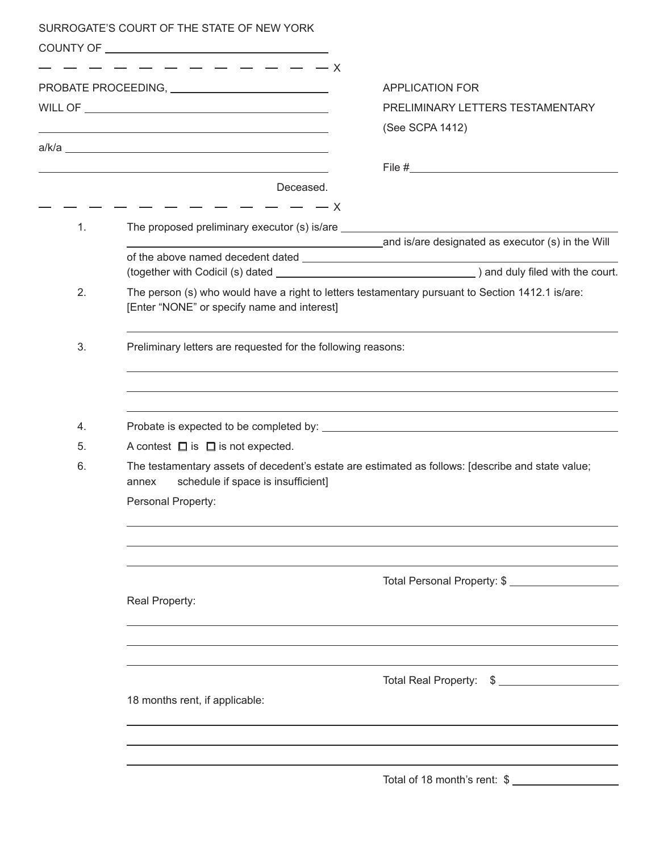|    | SURROGATE'S COURT OF THE STATE OF NEW YORK                                                                                                       |                                                                                  |  |  |  |  |  |
|----|--------------------------------------------------------------------------------------------------------------------------------------------------|----------------------------------------------------------------------------------|--|--|--|--|--|
|    |                                                                                                                                                  |                                                                                  |  |  |  |  |  |
|    |                                                                                                                                                  | <b>APPLICATION FOR</b>                                                           |  |  |  |  |  |
|    |                                                                                                                                                  | PRELIMINARY LETTERS TESTAMENTARY                                                 |  |  |  |  |  |
|    | and the control of the control of the control of the control of the control of the control of the control of the                                 | (See SCPA 1412)                                                                  |  |  |  |  |  |
|    |                                                                                                                                                  |                                                                                  |  |  |  |  |  |
|    |                                                                                                                                                  |                                                                                  |  |  |  |  |  |
|    | Deceased.<br>$- - - - - - - - - -$                                                                                                               |                                                                                  |  |  |  |  |  |
| 1. | The proposed preliminary executor (s) is/are ___________________________________                                                                 |                                                                                  |  |  |  |  |  |
|    |                                                                                                                                                  | and is/are designated as executor (s) in the Will                                |  |  |  |  |  |
|    |                                                                                                                                                  |                                                                                  |  |  |  |  |  |
| 2. |                                                                                                                                                  |                                                                                  |  |  |  |  |  |
|    | The person (s) who would have a right to letters testamentary pursuant to Section 1412.1 is/are:<br>[Enter "NONE" or specify name and interest]  |                                                                                  |  |  |  |  |  |
| 3. | Preliminary letters are requested for the following reasons:                                                                                     |                                                                                  |  |  |  |  |  |
|    |                                                                                                                                                  | ,我们也不会有什么。""我们的人,我们也不会有什么?""我们的人,我们也不会有什么?""我们的人,我们也不会有什么?""我们的人,我们也不会有什么?""我们的人 |  |  |  |  |  |
|    |                                                                                                                                                  |                                                                                  |  |  |  |  |  |
| 4. |                                                                                                                                                  |                                                                                  |  |  |  |  |  |
| 5. | A contest $\Box$ is $\Box$ is not expected.                                                                                                      |                                                                                  |  |  |  |  |  |
| 6. | The testamentary assets of decedent's estate are estimated as follows: [describe and state value;<br>schedule if space is insufficient]<br>annex |                                                                                  |  |  |  |  |  |
|    | Personal Property:                                                                                                                               |                                                                                  |  |  |  |  |  |
|    |                                                                                                                                                  |                                                                                  |  |  |  |  |  |
|    |                                                                                                                                                  |                                                                                  |  |  |  |  |  |
|    |                                                                                                                                                  | Total Personal Property: \$                                                      |  |  |  |  |  |
|    | Real Property:                                                                                                                                   |                                                                                  |  |  |  |  |  |
|    |                                                                                                                                                  |                                                                                  |  |  |  |  |  |
|    |                                                                                                                                                  |                                                                                  |  |  |  |  |  |
|    |                                                                                                                                                  | Total Real Property: \$                                                          |  |  |  |  |  |
|    | 18 months rent, if applicable:                                                                                                                   |                                                                                  |  |  |  |  |  |
|    |                                                                                                                                                  |                                                                                  |  |  |  |  |  |
|    |                                                                                                                                                  |                                                                                  |  |  |  |  |  |
|    |                                                                                                                                                  | Total of 18 month's rent: \$                                                     |  |  |  |  |  |